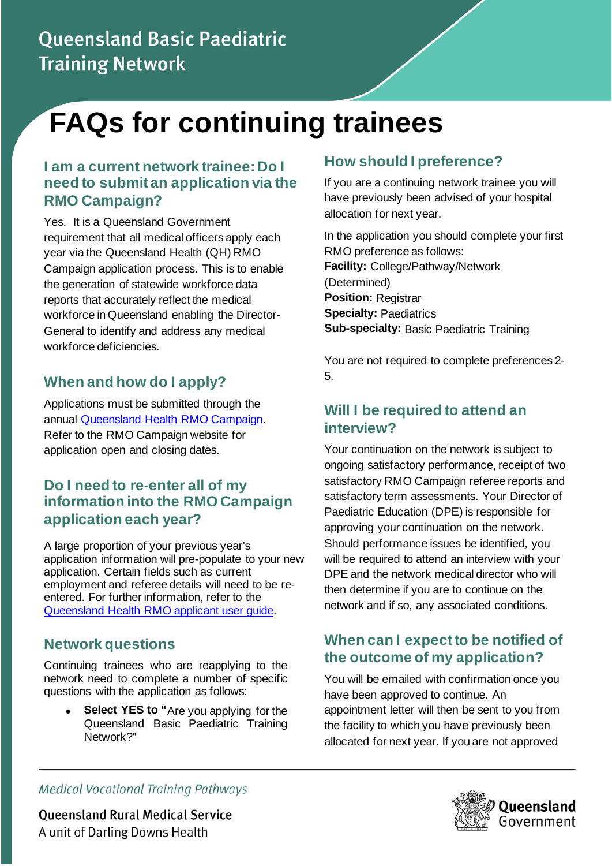# Queensland Basic Paediatric **Training Network**

# **FAQs for continuing trainees**

#### **I am a current network trainee: Do I need to submit an application via the RMO Campaign?**

Yes. It is a Queensland Government requirement that all medical officers apply each year via the Queensland Health (QH) RMO Campaign application process. This is to enable the generation of statewide workforce data reports that accurately reflect the medical workforce in Queensland enabling the Director-General to identify and address any medical workforce deficiencies.

#### **When and how do I apply?**

Applications must be submitted through the annual [Queensland Health RMO Campaign.](https://www.health.qld.gov.au/employment/work-for-us/clinical/medical/recruitment/rmo) Refer to the RMO Campaign website for application open and closing dates.

#### **Do I need to re-enter all of my information into the RMO Campaign application each year?**

A large proportion of your previous year's application information will pre-populate to your new application. Certain fields such as current employment and referee details will need to be reentered. For further information, refer to the [Queensland Health RMO applicant user guide.](https://www.health.qld.gov.au/employment/work-for-us/clinical/medical/recruitment/rmo/applications/process)

## **Network questions**

Continuing trainees who are reapplying to the network need to complete a number of specific questions with the application as follows:

**Select YES to "Are you applying for the** Queensland Basic Paediatric Training Network?"

## **How should I preference?**

If you are a continuing network trainee you will have previously been advised of your hospital allocation for next year.

In the application you should complete your first RMO preference as follows: **Facility:** College/Pathway/Network (Determined) **Position:** Registrar **Specialty:** Paediatrics **Sub-specialty:** Basic Paediatric Training

You are not required to complete preferences 2- 5.

#### **Will I be required to attend an interview?**

Your continuation on the network is subject to ongoing satisfactory performance, receipt of two satisfactory RMO Campaign referee reports and satisfactory term assessments. Your Director of Paediatric Education (DPE) is responsible for approving your continuation on the network. Should performance issues be identified, you will be required to attend an interview with your DPE and the network medical director who will then determine if you are to continue on the network and if so, any associated conditions.

#### **When can I expect to be notified of the outcome of my application?**

You will be emailed with confirmation once you have been approved to continue. An appointment letter will then be sent to you from the facility to which you have previously been allocated for next year. If you are not approved

**Medical Vocational Training Pathways** 

**Queensland Rural Medical Service** A unit of Darling Downs Health